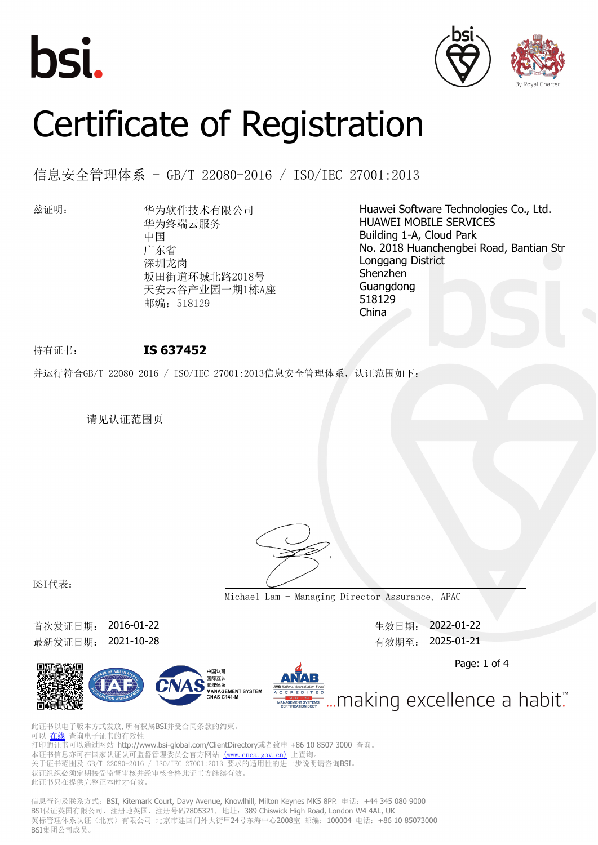





# Certificate of Registration

信息安全管理体系 - GB/T 22080-2016 / ISO/IEC 27001:2013

兹证明: 华为软件技术有限公司 华为终端云服务 中国 广东省 深圳龙岗 坂田街道环城北路2018号 天安云谷产业园一期1栋A座 邮编: 518129

Huawei Software Technologies Co., Ltd. HUAWEI MOBILE SERVICES Building 1-A, Cloud Park No. 2018 Huanchengbei Road, Bantian Str Longgang District Shenzhen Guangdong 518129 China

## 持有证书: **IS 637452**

并运行符合GB/T 22080-2016 / ISO/IEC 27001:2013信息安全管理体系, 认证范围如下:

请见认证范围页



BSI代表:

**Michael Lam - Managing Director Assurance, APAC**

首次发证日期: 2016-01-22 生效日期: 2022-01-22 最新发证日期: 2021-10-28 <br> **最新发证日期: 2021-10-28** 

Page: 1 of 4





此证书以电子版本方式发放,所有权属BSI并受合同条款的约束。 可以 [在线](https://pgplus.bsigroup.com/CertificateValidation/CertificateValidator.aspx?CertificateNumber=IS+637452&ReIssueDate=28%2f10%2f2021&Template=cn) 查询电子证书的有效性 打印的证书可以通过网站 http://www.bsi-global.com/ClientDirectory或者致电 +86 10 8507 3000 查询。 本证书信息亦可在国家认证认可监督管理委员会官方网站 [\(www.cnca.gov.cn\)](www.cnca.gov.cn) 上查询。 关于证书范围及 GB/T 22080-2016 / ISO/IEC 27001:2013 要求的适用性的进一步说明请咨询BSI。 人, 盖卡记出会 23, 1 -----<br>获证组织必须定期接受监督审核并经审核合格此证书方继续有效。 此证书只在提供完整正本时才有效。

信息查询及联系方式: BSI, Kitemark Court, Davy Avenue, Knowlhill, Milton Keynes MK5 8PP. 电话: +44 345 080 9000 BSI保证英国有限公司,注册地英国,注册号码7805321,地址: 389 Chiswick High Road, London W4 4AL, UK 英标管理体系认证(北京)有限公司 北京市建国门外大街甲24号东海中心2008室 邮编: 100004 电话: +86 10 85073000 BSI集团公司成员。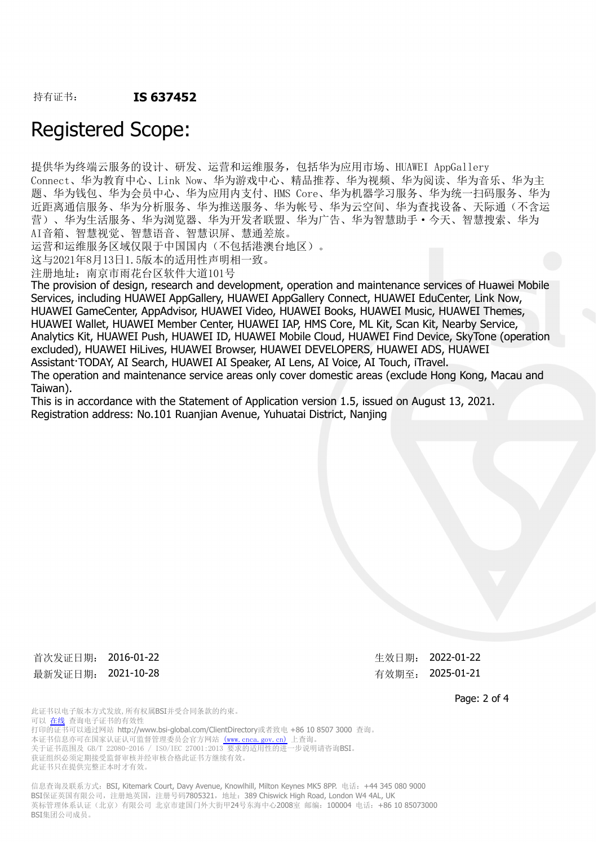### 持有证书: **IS 637452**

## Registered Scope:

提供华为终端云服务的设计、研发、运营和运维服务,包括华为应用市场、HUAWEI AppGallery Connect、华为教育中心、Link Now、华为游戏中心、精品推荐、华为视频、华为阅读、华为音乐、华为主 题、华为钱包、华为会员中心、华为应用内支付、HMS Core、华为机器学习服务、华为统一扫码服务、华为 近距离通信服务、华为分析服务、华为推送服务、华为帐号、华为云空间、华为查找设备、天际通(不含运 营)、华为生活服务、华为浏览器、华为开发者联盟、华为广告、华为智慧助手·今天、智慧搜索、华为 AI音箱、智慧视觉、智慧语音、智慧识屏、慧通差旅。

运营和运维服务区域仅限于中国国内(不包括港澳台地区)。

这与2021年8月13日1.5版本的适用性声明相一致。

注册地址:南京市雨花台区软件大道101号

The provision of design, research and development, operation and maintenance services of Huawei Mobile Services, including HUAWEI AppGallery, HUAWEI AppGallery Connect, HUAWEI EduCenter, Link Now, HUAWEI GameCenter, AppAdvisor, HUAWEI Video, HUAWEI Books, HUAWEI Music, HUAWEI Themes, HUAWEI Wallet, HUAWEI Member Center, HUAWEI IAP, HMS Core, ML Kit, Scan Kit, Nearby Service, Analytics Kit, HUAWEI Push, HUAWEI ID, HUAWEI Mobile Cloud, HUAWEI Find Device, SkyTone (operation excluded), HUAWEI HiLives, HUAWEI Browser, HUAWEI DEVELOPERS, HUAWEI ADS, HUAWEI Assistant·TODAY, AI Search, HUAWEI AI Speaker, AI Lens, AI Voice, AI Touch, iTravel. The operation and maintenance service areas only cover domestic areas (exclude Hong Kong, Macau and Taiwan).

This is in accordance with the Statement of Application version 1.5, issued on August 13, 2021. Registration address: No.101 Ruanjian Avenue, Yuhuatai District, Nanjing

首次发证日期: 2016-01-22 生效日期: 2022-01-22 最新发证日期: 2021-10-28 <br> **最新发证日期: 2021-10-28** 

此证书以电子版本方式发放,所有权属BSI并受合同条款的约束。 可以 [在线](https://pgplus.bsigroup.com/CertificateValidation/CertificateValidator.aspx?CertificateNumber=IS+637452&ReIssueDate=28%2f10%2f2021&Template=cn) 查询电子证书的有效性 +7印的证书可以通过网站 http://www.bsi-global.com/ClientDirectory或者致电 +86 10 8507 3000 查询。 本证书信息亦可在国家认证认可监督管理委员会官方网站 [\(www.cnca.gov.cn\)](www.cnca.gov.cn) 上查询。 关于证书范围及 GB/T 22080-2016 / ISO/IEC 27001:2013 要求的适用性的进一步说明请咨询BSI。 获证组织必须定期接受监督审核并经审核合格此证书方继续有效。 此证书只在提供完整正本时才有效。

信息查询及联系方式: BSI, Kitemark Court, Davy Avenue, Knowlhill, Milton Keynes MK5 8PP. 电话: +44 345 080 9000 BSI保证英国有限公司,注册册英国,注册号码7805321,地址: 389 Chiswick High Road, London W4 4AL, UK 英标管理体系认证(北京)有限公司 北京市建国门外大街甲24号东海中心2008室 邮编: 100004 电话: +86 10 85073000 BSI集团公司成员。

Page: 2 of 4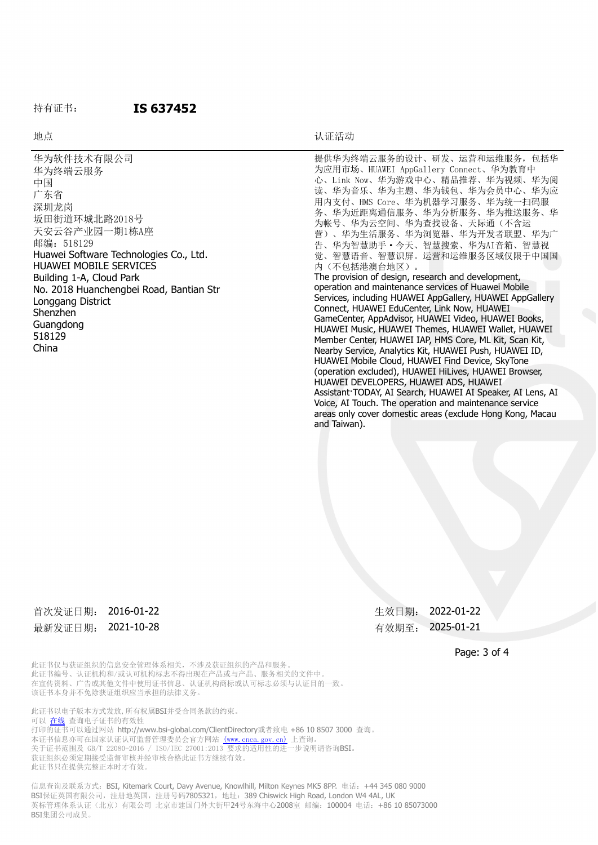#### 持有证书: **IS 637452**

#### 地点 地点 医心包的 医心包的 医心包的 医心包的 计磁带动物

最新发证日期: 2021-10-28 无法的 有效期至: 2025-01-21

首次发证日期: 2016-01-22 <br>

Page: 3 of 4

此证书仅与获证组织的信息安全管理体系相关,不涉及获证组织的产品和服务。 此证书编号、认证机构和/或认可机构标志不得出现在产品或与产品、服务相关的文件中。 在宣传资料、广告或其他文件中使用证书信息、认证机构商标或认可标志必须与认证目的一致。 该证书本身并不免除获证组织应当承担的法律义务。

此证书以电子版本方式发放,所有权属BSI并受合同条款的约束。 可以 [在线](https://pgplus.bsigroup.com/CertificateValidation/CertificateValidator.aspx?CertificateNumber=IS+637452&ReIssueDate=28%2f10%2f2021&Template=cn) 查询电子证书的有效性 打印的证书可以通过网站 http://www.bsi-global.com/ClientDirectory或者致电 +86 10 8507 3000 查询。 本证书信息亦可在国家认证认可监督管理委员会官方网站 [\(www.cnca.gov.cn\)](www.cnca.gov.cn) 上查询。 关于证书范围及 GB/T 22080-2016 / ISO/IEC 27001:2013 要求的适用性的进一步说明请咨询BSI。 获证组织必须定期接受监督审核并经审核合格此证书方继续有效。 此证书只在提供完整正本时才有效。

信息查询及联系方式:BSI, Kitemark Court, Davy Avenue, Knowlhill, Milton Keynes MK5 8PP. 电话:+44 345 080 9000 BSI保证英国有限公司,注册地英国,注册号码7805321,地址: 389 Chiswick High Road, London W4 4AL, UK 英标管理体系认证(北京)有限公司 北京市建国门外大街甲24号东海中心2008室 邮编: 100004 电话: +86 10 85073000 BSI集团公司成员。